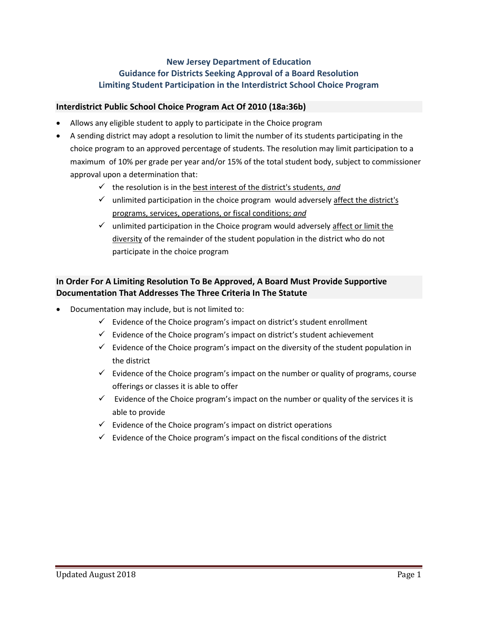# **New Jersey Department of Education Guidance for Districts Seeking Approval of a Board Resolution Limiting Student Participation in the Interdistrict School Choice Program**

## **Interdistrict Public School Choice Program Act Of 2010 (18a:36b)**

- Allows any eligible student to apply to participate in the Choice program
- A sending district may adopt a resolution to limit the number of its students participating in the choice program to an approved percentage of students. The resolution may limit participation to a maximum of 10% per grade per year and/or 15% of the total student body, subject to commissioner approval upon a determination that:
	- $\checkmark$  the resolution is in the best interest of the district's students, and
	- $\checkmark$  unlimited participation in the choice program would adversely affect the district's programs, services, operations, or fiscal conditions; *and*
	- $\checkmark$  unlimited participation in the Choice program would adversely affect or limit the diversity of the remainder of the student population in the district who do not participate in the choice program

## **In Order For A Limiting Resolution To Be Approved, A Board Must Provide Supportive Documentation That Addresses The Three Criteria In The Statute**

- Documentation may include, but is not limited to:
	- $\checkmark$  Evidence of the Choice program's impact on district's student enrollment
	- $\checkmark$  Evidence of the Choice program's impact on district's student achievement
	- $\checkmark$  Evidence of the Choice program's impact on the diversity of the student population in the district
	- $\checkmark$  Evidence of the Choice program's impact on the number or quality of programs, course offerings or classes it is able to offer
	- $\checkmark$  Evidence of the Choice program's impact on the number or quality of the services it is able to provide
	- $\checkmark$  Evidence of the Choice program's impact on district operations
	- $\checkmark$  Evidence of the Choice program's impact on the fiscal conditions of the district